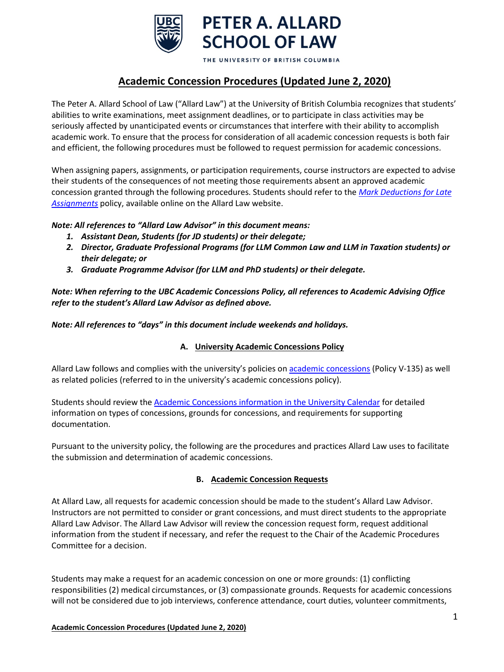

THE UNIVERSITY OF BRITISH COLUMBIA

# **Academic Concession Procedures (Updated June 2, 2020)**

The Peter A. Allard School of Law ("Allard Law") at the University of British Columbia recognizes that students' abilities to write examinations, meet assignment deadlines, or to participate in class activities may be seriously affected by unanticipated events or circumstances that interfere with their ability to accomplish academic work. To ensure that the process for consideration of all academic concession requests is both fair and efficient, the following procedures must be followed to request permission for academic concessions.

When assigning papers, assignments, or participation requirements, course instructors are expected to advise their students of the consequences of not meeting those requirements absent an approved academic concession granted through the following procedures. Students should refer to the *[Mark Deductions for Late](http://www.allard.ubc.ca/sites/www.allard.ubc.ca/files/uploads/JD/penalties_for_late_assignments.pdf)  [Assignments](http://www.allard.ubc.ca/sites/www.allard.ubc.ca/files/uploads/JD/penalties_for_late_assignments.pdf)* policy, available online on the Allard Law website.

# *Note: All references to "Allard Law Advisor" in this document means:*

- *1. Assistant Dean, Students (for JD students) or their delegate;*
- *2. Director, Graduate Professional Programs (for LLM Common Law and LLM in Taxation students) or their delegate; or*
- *3. Graduate Programme Advisor (for LLM and PhD students) or their delegate.*

*Note: When referring to the UBC Academic Concessions Policy, all references to Academic Advising Office refer to the student's Allard Law Advisor as defined above.*

*Note: All references to "days" in this document include weekends and holidays.*

# **A. University Academic Concessions Policy**

Allard Law follows and complies with the university's policies on [academic concessions](http://www.calendar.ubc.ca/vancouver/index.cfm?tree=3,329,0,0) (Policy V-135) as well as related policies (referred to in the university's academic concessions policy).

Students should review the [Academic Concessions information in the University Calendar](http://www.calendar.ubc.ca/vancouver/index.cfm?tree=3,329,0,0) for detailed information on types of concessions, grounds for concessions, and requirements for supporting documentation.

Pursuant to the university policy, the following are the procedures and practices Allard Law uses to facilitate the submission and determination of academic concessions.

### **B. Academic Concession Requests**

At Allard Law, all requests for academic concession should be made to the student's Allard Law Advisor. Instructors are not permitted to consider or grant concessions, and must direct students to the appropriate Allard Law Advisor. The Allard Law Advisor will review the concession request form, request additional information from the student if necessary, and refer the request to the Chair of the Academic Procedures Committee for a decision.

Students may make a request for an academic concession on one or more grounds: (1) conflicting responsibilities (2) medical circumstances, or (3) compassionate grounds. Requests for academic concessions will not be considered due to job interviews, conference attendance, court duties, volunteer commitments,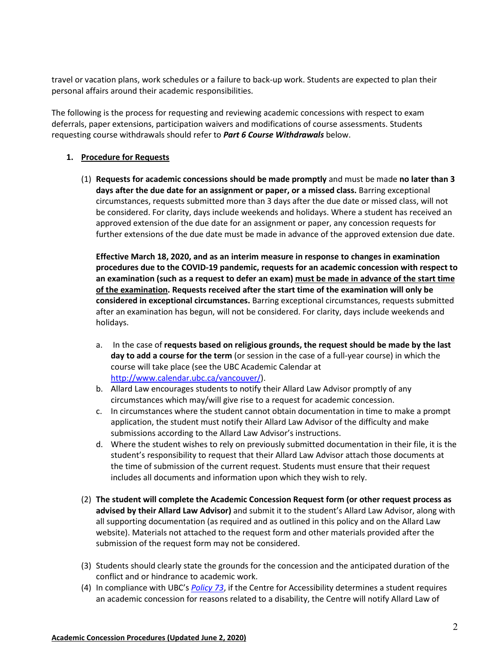travel or vacation plans, work schedules or a failure to back-up work. Students are expected to plan their personal affairs around their academic responsibilities.

The following is the process for requesting and reviewing academic concessions with respect to exam deferrals, paper extensions, participation waivers and modifications of course assessments. Students requesting course withdrawals should refer to *Part 6 Course Withdrawals* below.

#### **1. Procedure for Requests**

(1) **Requests for academic concessions should be made promptly** and must be made **no later than 3 days after the due date for an assignment or paper, or a missed class.** Barring exceptional circumstances, requests submitted more than 3 days after the due date or missed class, will not be considered. For clarity, days include weekends and holidays. Where a student has received an approved extension of the due date for an assignment or paper, any concession requests for further extensions of the due date must be made in advance of the approved extension due date.

**Effective March 18, 2020, and as an interim measure in response to changes in examination procedures due to the COVID-19 pandemic, requests for an academic concession with respect to an examination (such as a request to defer an exam) must be made in advance of the start time of the examination. Requests received after the start time of the examination will only be considered in exceptional circumstances.** Barring exceptional circumstances, requests submitted after an examination has begun, will not be considered. For clarity, days include weekends and holidays.

- a. In the case of **requests based on religious grounds, the request should be made by the last day to add a course for the term** (or session in the case of a full-year course) in which the course will take place (see the UBC Academic Calendar at [http://www.calendar.ubc.ca/vancouver/\)](http://www.calendar.ubc.ca/vancouver/).
- b. Allard Law encourages students to notify their Allard Law Advisor promptly of any circumstances which may/will give rise to a request for academic concession.
- c. In circumstances where the student cannot obtain documentation in time to make a prompt application, the student must notify their Allard Law Advisor of the difficulty and make submissions according to the Allard Law Advisor's instructions.
- d. Where the student wishes to rely on previously submitted documentation in their file, it is the student's responsibility to request that their Allard Law Advisor attach those documents at the time of submission of the current request. Students must ensure that their request includes all documents and information upon which they wish to rely.
- (2) **The student will complete the Academic Concession Request form (or other request process as advised by their Allard Law Advisor)** and submit it to the student's Allard Law Advisor, along with all supporting documentation (as required and as outlined in this policy and on the Allard Law website). Materials not attached to the request form and other materials provided after the submission of the request form may not be considered.
- (3) Students should clearly state the grounds for the concession and the anticipated duration of the conflict and or hindrance to academic work.
- (4) In compliance with UBC's *[Policy 73](https://universitycounsel2.sites.olt.ubc.ca/files/2019/08/Disability-Accommodation-Policy_LR7.pdf)*, if the Centre for Accessibility determines a student requires an academic concession for reasons related to a disability, the Centre will notify Allard Law of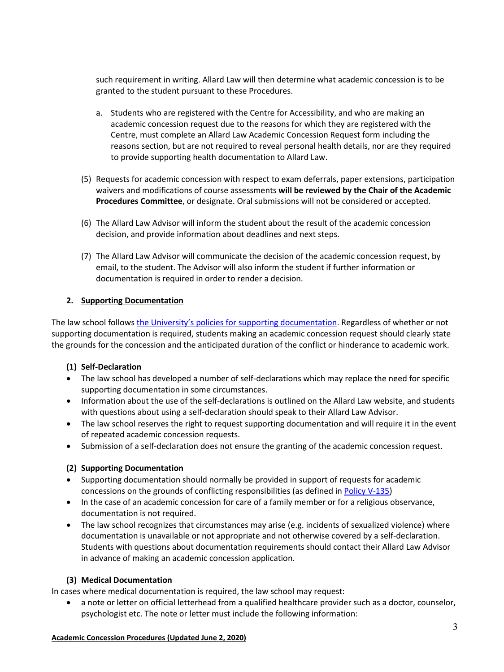such requirement in writing. Allard Law will then determine what academic concession is to be granted to the student pursuant to these Procedures.

- a. Students who are registered with the Centre for Accessibility, and who are making an academic concession request due to the reasons for which they are registered with the Centre, must complete an Allard Law Academic Concession Request form including the reasons section, but are not required to reveal personal health details, nor are they required to provide supporting health documentation to Allard Law.
- (5) Requests for academic concession with respect to exam deferrals, paper extensions, participation waivers and modifications of course assessments **will be reviewed by the Chair of the Academic Procedures Committee**, or designate. Oral submissions will not be considered or accepted.
- (6) The Allard Law Advisor will inform the student about the result of the academic concession decision, and provide information about deadlines and next steps.
- (7) The Allard Law Advisor will communicate the decision of the academic concession request, by email, to the student. The Advisor will also inform the student if further information or documentation is required in order to render a decision.

### **2. Supporting Documentation**

The law school follows [the University's policies for supporting documentation.](http://www.calendar.ubc.ca/vancouver/index.cfm?tree=3,329,0,0) Regardless of whether or not supporting documentation is required, students making an academic concession request should clearly state the grounds for the concession and the anticipated duration of the conflict or hinderance to academic work.

### **(1) Self-Declaration**

- The law school has developed a number of self-declarations which may replace the need for specific supporting documentation in some circumstances.
- Information about the use of the self-declarations is outlined on the Allard Law website, and students with questions about using a self-declaration should speak to their Allard Law Advisor.
- The law school reserves the right to request supporting documentation and will require it in the event of repeated academic concession requests.
- Submission of a self-declaration does not ensure the granting of the academic concession request.

### **(2) Supporting Documentation**

- Supporting documentation should normally be provided in support of requests for academic concessions on the grounds of conflicting responsibilities (as defined in [Policy V-135\)](http://www.calendar.ubc.ca/vancouver/index.cfm?tree=3,329,0,0)
- In the case of an academic concession for care of a family member or for a religious observance, documentation is not required.
- The law school recognizes that circumstances may arise (e.g. incidents of sexualized violence) where documentation is unavailable or not appropriate and not otherwise covered by a self-declaration. Students with questions about documentation requirements should contact their Allard Law Advisor in advance of making an academic concession application.

### **(3) Medical Documentation**

In cases where medical documentation is required, the law school may request:

• a note or letter on official letterhead from a qualified healthcare provider such as a doctor, counselor, psychologist etc. The note or letter must include the following information:

#### **Academic Concession Procedures (Updated June 2, 2020)**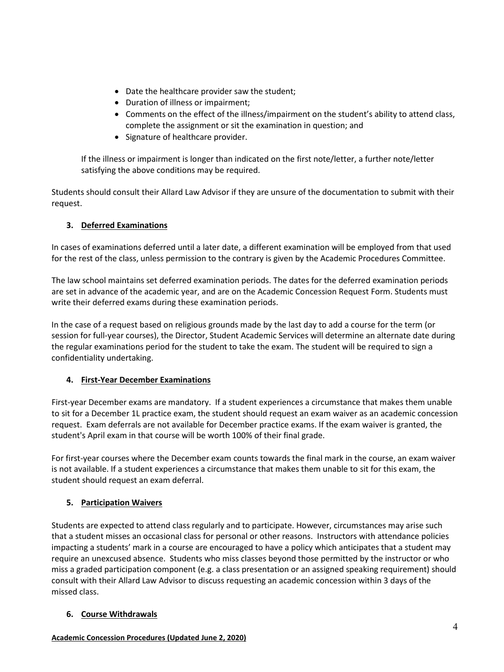- Date the healthcare provider saw the student;
- Duration of illness or impairment;
- Comments on the effect of the illness/impairment on the student's ability to attend class, complete the assignment or sit the examination in question; and
- Signature of healthcare provider.

If the illness or impairment is longer than indicated on the first note/letter, a further note/letter satisfying the above conditions may be required.

Students should consult their Allard Law Advisor if they are unsure of the documentation to submit with their request.

# **3. Deferred Examinations**

In cases of examinations deferred until a later date, a different examination will be employed from that used for the rest of the class, unless permission to the contrary is given by the Academic Procedures Committee.

The law school maintains set deferred examination periods. The dates for the deferred examination periods are set in advance of the academic year, and are on the Academic Concession Request Form. Students must write their deferred exams during these examination periods.

In the case of a request based on religious grounds made by the last day to add a course for the term (or session for full-year courses), the Director, Student Academic Services will determine an alternate date during the regular examinations period for the student to take the exam. The student will be required to sign a confidentiality undertaking.

### **4. First-Year December Examinations**

First-year December exams are mandatory. If a student experiences a circumstance that makes them unable to sit for a December 1L practice exam, the student should request an exam waiver as an academic concession request. Exam deferrals are not available for December practice exams. If the exam waiver is granted, the student's April exam in that course will be worth 100% of their final grade.

For first-year courses where the December exam counts towards the final mark in the course, an exam waiver is not available. If a student experiences a circumstance that makes them unable to sit for this exam, the student should request an exam deferral.

# **5. Participation Waivers**

Students are expected to attend class regularly and to participate. However, circumstances may arise such that a student misses an occasional class for personal or other reasons. Instructors with attendance policies impacting a students' mark in a course are encouraged to have a policy which anticipates that a student may require an unexcused absence. Students who miss classes beyond those permitted by the instructor or who miss a graded participation component (e.g. a class presentation or an assigned speaking requirement) should consult with their Allard Law Advisor to discuss requesting an academic concession within 3 days of the missed class.

### **6. Course Withdrawals**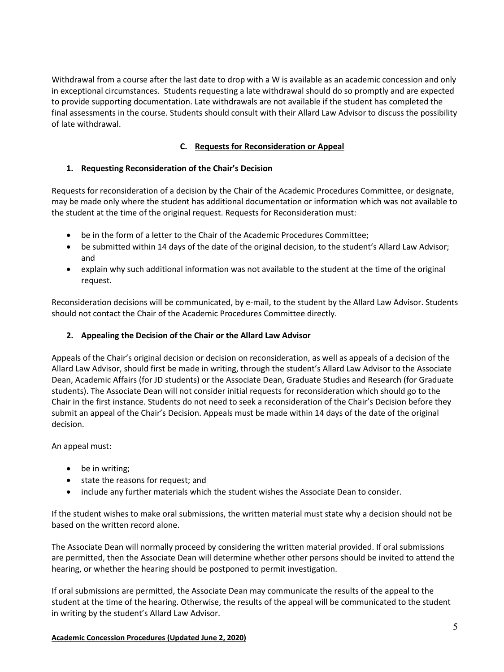Withdrawal from a course after the last date to drop with a W is available as an academic concession and only in exceptional circumstances. Students requesting a late withdrawal should do so promptly and are expected to provide supporting documentation. Late withdrawals are not available if the student has completed the final assessments in the course. Students should consult with their Allard Law Advisor to discuss the possibility of late withdrawal.

# **C. Requests for Reconsideration or Appeal**

### **1. Requesting Reconsideration of the Chair's Decision**

Requests for reconsideration of a decision by the Chair of the Academic Procedures Committee, or designate, may be made only where the student has additional documentation or information which was not available to the student at the time of the original request. Requests for Reconsideration must:

- be in the form of a letter to the Chair of the Academic Procedures Committee;
- be submitted within 14 days of the date of the original decision, to the student's Allard Law Advisor; and
- explain why such additional information was not available to the student at the time of the original request.

Reconsideration decisions will be communicated, by e-mail, to the student by the Allard Law Advisor. Students should not contact the Chair of the Academic Procedures Committee directly.

### **2. Appealing the Decision of the Chair or the Allard Law Advisor**

Appeals of the Chair's original decision or decision on reconsideration, as well as appeals of a decision of the Allard Law Advisor, should first be made in writing, through the student's Allard Law Advisor to the Associate Dean, Academic Affairs (for JD students) or the Associate Dean, Graduate Studies and Research (for Graduate students). The Associate Dean will not consider initial requests for reconsideration which should go to the Chair in the first instance. Students do not need to seek a reconsideration of the Chair's Decision before they submit an appeal of the Chair's Decision. Appeals must be made within 14 days of the date of the original decision.

An appeal must:

- be in writing;
- state the reasons for request; and
- include any further materials which the student wishes the Associate Dean to consider.

If the student wishes to make oral submissions, the written material must state why a decision should not be based on the written record alone.

The Associate Dean will normally proceed by considering the written material provided. If oral submissions are permitted, then the Associate Dean will determine whether other persons should be invited to attend the hearing, or whether the hearing should be postponed to permit investigation.

If oral submissions are permitted, the Associate Dean may communicate the results of the appeal to the student at the time of the hearing. Otherwise, the results of the appeal will be communicated to the student in writing by the student's Allard Law Advisor.